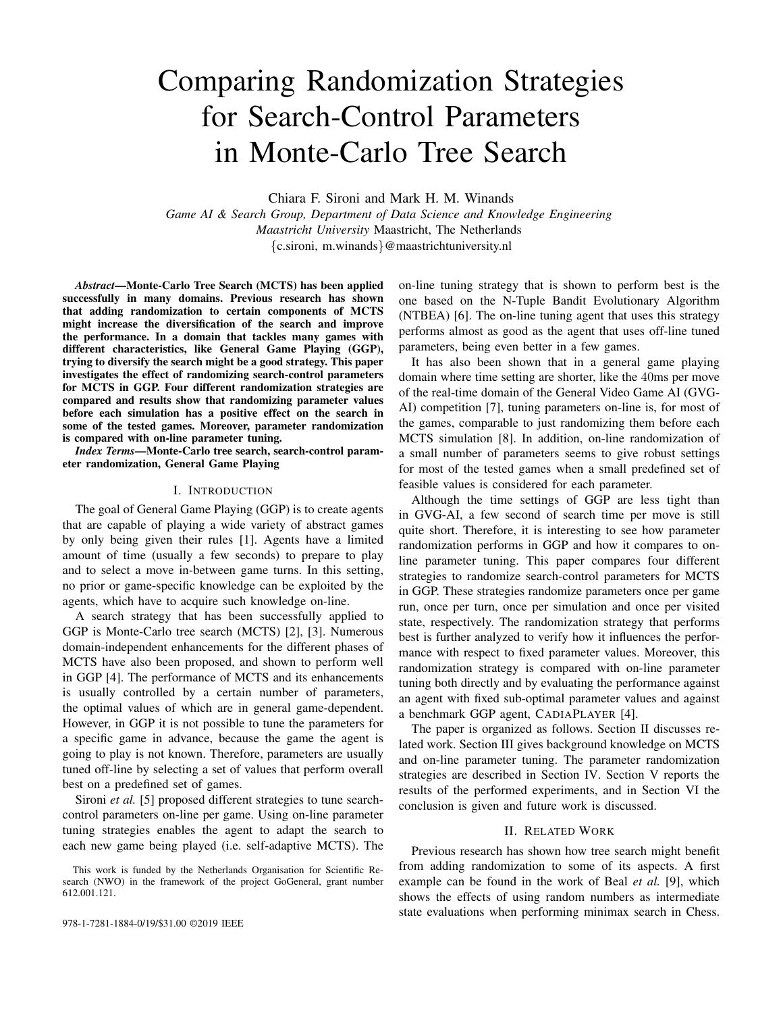# Comparing Randomization Strategies for Search-Control Parameters in Monte-Carlo Tree Search

Chiara F. Sironi and Mark H. M. Winands

*Game AI & Search Group, Department of Data Science and Knowledge Engineering Maastricht University* Maastricht, The Netherlands {c.sironi, m.winands}@maastrichtuniversity.nl

*Abstract*—Monte-Carlo Tree Search (MCTS) has been applied successfully in many domains. Previous research has shown that adding randomization to certain components of MCTS might increase the diversification of the search and improve the performance. In a domain that tackles many games with different characteristics, like General Game Playing (GGP), trying to diversify the search might be a good strategy. This paper investigates the effect of randomizing search-control parameters for MCTS in GGP. Four different randomization strategies are compared and results show that randomizing parameter values before each simulation has a positive effect on the search in some of the tested games. Moreover, parameter randomization is compared with on-line parameter tuning.

*Index Terms*—Monte-Carlo tree search, search-control parameter randomization, General Game Playing

#### I. INTRODUCTION

The goal of General Game Playing (GGP) is to create agents that are capable of playing a wide variety of abstract games by only being given their rules [1]. Agents have a limited amount of time (usually a few seconds) to prepare to play and to select a move in-between game turns. In this setting, no prior or game-specific knowledge can be exploited by the agents, which have to acquire such knowledge on-line.

A search strategy that has been successfully applied to GGP is Monte-Carlo tree search (MCTS) [2], [3]. Numerous domain-independent enhancements for the different phases of MCTS have also been proposed, and shown to perform well in GGP [4]. The performance of MCTS and its enhancements is usually controlled by a certain number of parameters, the optimal values of which are in general game-dependent. However, in GGP it is not possible to tune the parameters for a specific game in advance, because the game the agent is going to play is not known. Therefore, parameters are usually tuned off-line by selecting a set of values that perform overall best on a predefined set of games.

Sironi *et al.* [5] proposed different strategies to tune searchcontrol parameters on-line per game. Using on-line parameter tuning strategies enables the agent to adapt the search to each new game being played (i.e. self-adaptive MCTS). The on-line tuning strategy that is shown to perform best is the one based on the N-Tuple Bandit Evolutionary Algorithm (NTBEA) [6]. The on-line tuning agent that uses this strategy performs almost as good as the agent that uses off-line tuned parameters, being even better in a few games.

It has also been shown that in a general game playing domain where time setting are shorter, like the 40ms per move of the real-time domain of the General Video Game AI (GVG-AI) competition [7], tuning parameters on-line is, for most of the games, comparable to just randomizing them before each MCTS simulation [8]. In addition, on-line randomization of a small number of parameters seems to give robust settings for most of the tested games when a small predefined set of feasible values is considered for each parameter.

Although the time settings of GGP are less tight than in GVG-AI, a few second of search time per move is still quite short. Therefore, it is interesting to see how parameter randomization performs in GGP and how it compares to online parameter tuning. This paper compares four different strategies to randomize search-control parameters for MCTS in GGP. These strategies randomize parameters once per game run, once per turn, once per simulation and once per visited state, respectively. The randomization strategy that performs best is further analyzed to verify how it influences the performance with respect to fixed parameter values. Moreover, this randomization strategy is compared with on-line parameter tuning both directly and by evaluating the performance against an agent with fixed sub-optimal parameter values and against a benchmark GGP agent, CADIAPLAYER [4].

The paper is organized as follows. Section II discusses related work. Section III gives background knowledge on MCTS and on-line parameter tuning. The parameter randomization strategies are described in Section IV. Section V reports the results of the performed experiments, and in Section VI the conclusion is given and future work is discussed.

## II. RELATED WORK

Previous research has shown how tree search might benefit from adding randomization to some of its aspects. A first example can be found in the work of Beal *et al.* [9], which shows the effects of using random numbers as intermediate state evaluations when performing minimax search in Chess.

This work is funded by the Netherlands Organisation for Scientific Research (NWO) in the framework of the project GoGeneral, grant number 612.001.121.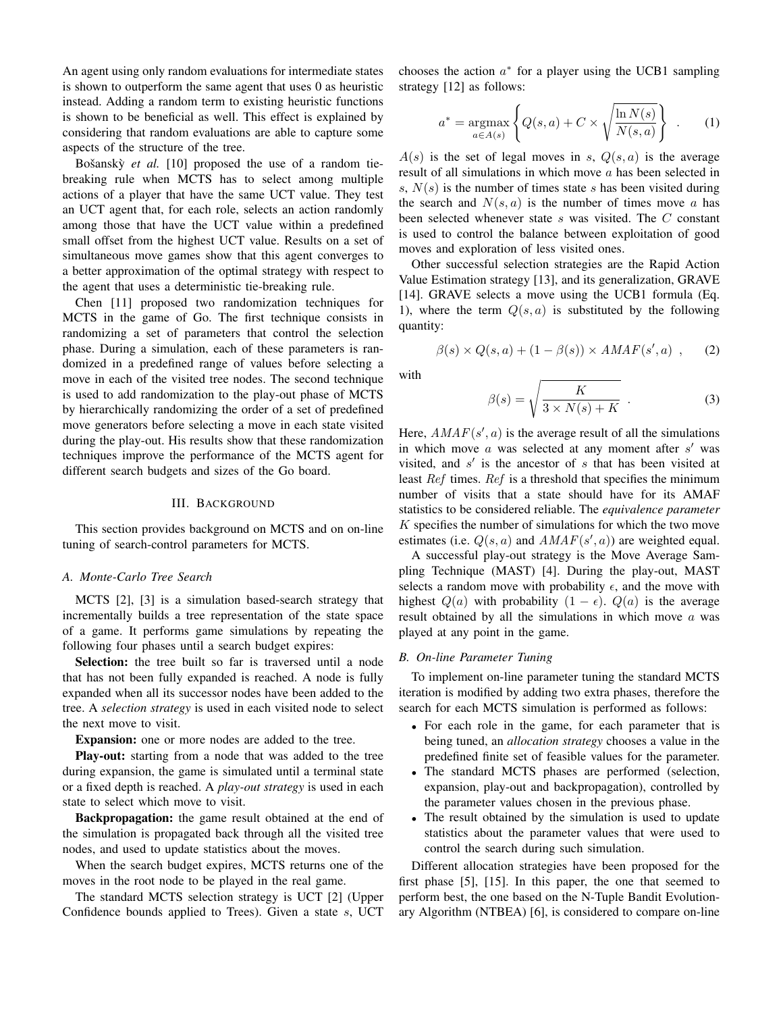An agent using only random evaluations for intermediate states is shown to outperform the same agent that uses 0 as heuristic instead. Adding a random term to existing heuristic functions is shown to be beneficial as well. This effect is explained by considering that random evaluations are able to capture some aspects of the structure of the tree.

Bošanský *et al.* [10] proposed the use of a random tiebreaking rule when MCTS has to select among multiple actions of a player that have the same UCT value. They test an UCT agent that, for each role, selects an action randomly among those that have the UCT value within a predefined small offset from the highest UCT value. Results on a set of simultaneous move games show that this agent converges to a better approximation of the optimal strategy with respect to the agent that uses a deterministic tie-breaking rule.

Chen [11] proposed two randomization techniques for MCTS in the game of Go. The first technique consists in randomizing a set of parameters that control the selection phase. During a simulation, each of these parameters is randomized in a predefined range of values before selecting a move in each of the visited tree nodes. The second technique is used to add randomization to the play-out phase of MCTS by hierarchically randomizing the order of a set of predefined move generators before selecting a move in each state visited during the play-out. His results show that these randomization techniques improve the performance of the MCTS agent for different search budgets and sizes of the Go board.

# III. BACKGROUND

This section provides background on MCTS and on on-line tuning of search-control parameters for MCTS.

## *A. Monte-Carlo Tree Search*

MCTS [2], [3] is a simulation based-search strategy that incrementally builds a tree representation of the state space of a game. It performs game simulations by repeating the following four phases until a search budget expires:

Selection: the tree built so far is traversed until a node that has not been fully expanded is reached. A node is fully expanded when all its successor nodes have been added to the tree. A *selection strategy* is used in each visited node to select the next move to visit.

Expansion: one or more nodes are added to the tree.

Play-out: starting from a node that was added to the tree during expansion, the game is simulated until a terminal state or a fixed depth is reached. A *play-out strategy* is used in each state to select which move to visit.

Backpropagation: the game result obtained at the end of the simulation is propagated back through all the visited tree nodes, and used to update statistics about the moves.

When the search budget expires, MCTS returns one of the moves in the root node to be played in the real game.

The standard MCTS selection strategy is UCT [2] (Upper Confidence bounds applied to Trees). Given a state s, UCT

chooses the action  $a^*$  for a player using the UCB1 sampling strategy [12] as follows:

$$
a^* = \underset{a \in A(s)}{\operatorname{argmax}} \left\{ Q(s, a) + C \times \sqrt{\frac{\ln N(s)}{N(s, a)}} \right\} .
$$
 (1)

 $A(s)$  is the set of legal moves in s,  $Q(s, a)$  is the average result of all simulations in which move a has been selected in s,  $N(s)$  is the number of times state s has been visited during the search and  $N(s, a)$  is the number of times move a has been selected whenever state s was visited. The C constant is used to control the balance between exploitation of good moves and exploration of less visited ones.

Other successful selection strategies are the Rapid Action Value Estimation strategy [13], and its generalization, GRAVE [14]. GRAVE selects a move using the UCB1 formula (Eq. 1), where the term  $Q(s, a)$  is substituted by the following quantity:

$$
\beta(s) \times Q(s, a) + (1 - \beta(s)) \times AMAF(s', a) , \qquad (2)
$$

with

$$
\beta(s) = \sqrt{\frac{K}{3 \times N(s) + K}} \tag{3}
$$

Here,  $AMAF(s', a)$  is the average result of all the simulations in which move  $a$  was selected at any moment after  $s'$  was visited, and  $s'$  is the ancestor of  $s$  that has been visited at least Ref times. Ref is a threshold that specifies the minimum number of visits that a state should have for its AMAF statistics to be considered reliable. The *equivalence parameter*  $K$  specifies the number of simulations for which the two move estimates (i.e.  $Q(s, a)$  and  $AMAF(s', a)$ ) are weighted equal.

A successful play-out strategy is the Move Average Sampling Technique (MAST) [4]. During the play-out, MAST selects a random move with probability  $\epsilon$ , and the move with highest  $Q(a)$  with probability  $(1 - \epsilon)$ .  $Q(a)$  is the average result obtained by all the simulations in which move  $a$  was played at any point in the game.

## *B. On-line Parameter Tuning*

To implement on-line parameter tuning the standard MCTS iteration is modified by adding two extra phases, therefore the search for each MCTS simulation is performed as follows:

- For each role in the game, for each parameter that is being tuned, an *allocation strategy* chooses a value in the predefined finite set of feasible values for the parameter.
- The standard MCTS phases are performed (selection, expansion, play-out and backpropagation), controlled by the parameter values chosen in the previous phase.
- The result obtained by the simulation is used to update statistics about the parameter values that were used to control the search during such simulation.

Different allocation strategies have been proposed for the first phase [5], [15]. In this paper, the one that seemed to perform best, the one based on the N-Tuple Bandit Evolutionary Algorithm (NTBEA) [6], is considered to compare on-line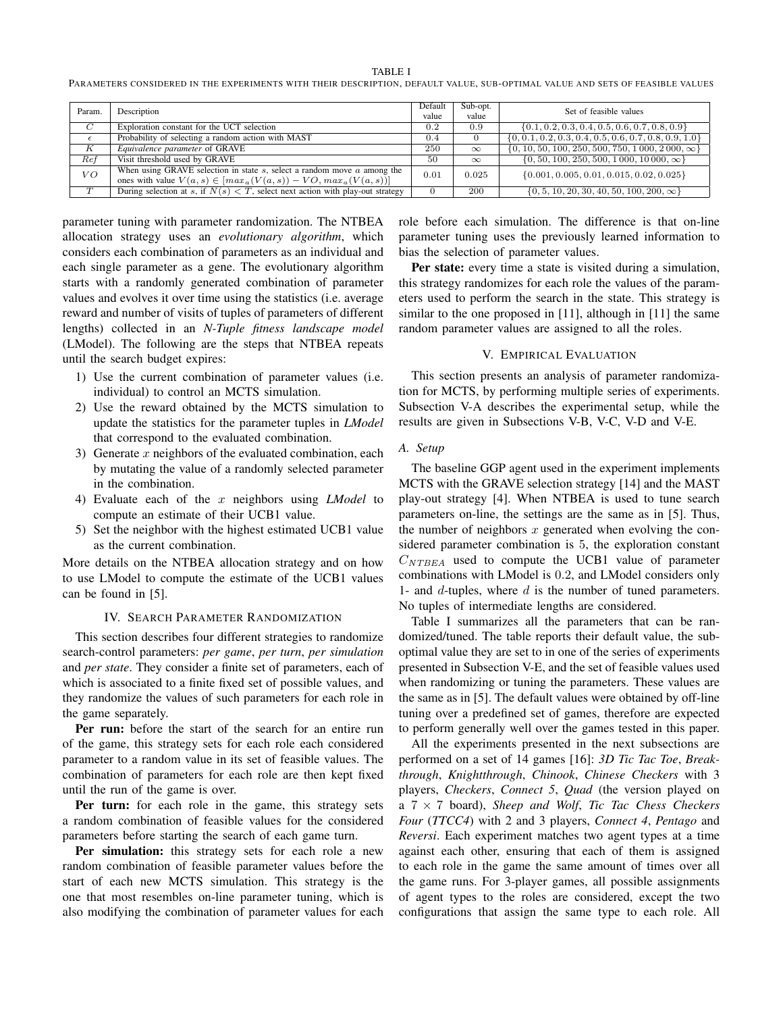TABLE I

PARAMETERS CONSIDERED IN THE EXPERIMENTS WITH THEIR DESCRIPTION, DEFAULT VALUE, SUB-OPTIMAL VALUE AND SETS OF FEASIBLE VALUES

| Param.           | Description                                                                                                                                         | Default<br>value | Sub-opt.<br>value | Set of feasible values                                    |
|------------------|-----------------------------------------------------------------------------------------------------------------------------------------------------|------------------|-------------------|-----------------------------------------------------------|
| $\overline{C}$   | Exploration constant for the UCT selection                                                                                                          | 0.2              | 0.9               | $\{0.1, 0.2, 0.3, 0.4, 0.5, 0.6, 0.7, 0.8, 0.9\}$         |
| $\epsilon$       | Probability of selecting a random action with MAST                                                                                                  | 0.4              |                   | $\{0, 0.1, 0.2, 0.3, 0.4, 0.5, 0.6, 0.7, 0.8, 0.9, 1.0\}$ |
| K                | Equivalence parameter of GRAVE                                                                                                                      | 250              | $\infty$          | $\{0, 10, 50, 100, 250, 500, 750, 1000, 2000, \infty\}$   |
| $\overline{Ref}$ | Visit threshold used by GRAVE                                                                                                                       | 50               | $\infty$          | $\{0, 50, 100, 250, 500, 1000, 10000, \infty\}$           |
| VO               | When using GRAVE selection in state $s$ , select a random move $a$ among the<br>ones with value $V(a, s) \in [max_a(V(a, s)) - VO, max_a(V(a, s))]$ | 0.01             | 0.025             | $\{0.001, 0.005, 0.01, 0.015, 0.02, 0.025\}$              |
| $\overline{T}$   | During selection at s, if $N(s) < T$ , select next action with play-out strategy                                                                    |                  | 200               | $\{0, 5, 10, 20, 30, 40, 50, 100, 200, \infty\}$          |

parameter tuning with parameter randomization. The NTBEA allocation strategy uses an *evolutionary algorithm*, which considers each combination of parameters as an individual and each single parameter as a gene. The evolutionary algorithm starts with a randomly generated combination of parameter values and evolves it over time using the statistics (i.e. average reward and number of visits of tuples of parameters of different lengths) collected in an *N-Tuple fitness landscape model* (LModel). The following are the steps that NTBEA repeats until the search budget expires:

- 1) Use the current combination of parameter values (i.e. individual) to control an MCTS simulation.
- 2) Use the reward obtained by the MCTS simulation to update the statistics for the parameter tuples in *LModel* that correspond to the evaluated combination.
- 3) Generate  $x$  neighbors of the evaluated combination, each by mutating the value of a randomly selected parameter in the combination.
- 4) Evaluate each of the x neighbors using *LModel* to compute an estimate of their UCB1 value.
- 5) Set the neighbor with the highest estimated UCB1 value as the current combination.

More details on the NTBEA allocation strategy and on how to use LModel to compute the estimate of the UCB1 values can be found in [5].

## IV. SEARCH PARAMETER RANDOMIZATION

This section describes four different strategies to randomize search-control parameters: *per game*, *per turn*, *per simulation* and *per state*. They consider a finite set of parameters, each of which is associated to a finite fixed set of possible values, and they randomize the values of such parameters for each role in the game separately.

Per run: before the start of the search for an entire run of the game, this strategy sets for each role each considered parameter to a random value in its set of feasible values. The combination of parameters for each role are then kept fixed until the run of the game is over.

Per turn: for each role in the game, this strategy sets a random combination of feasible values for the considered parameters before starting the search of each game turn.

Per simulation: this strategy sets for each role a new random combination of feasible parameter values before the start of each new MCTS simulation. This strategy is the one that most resembles on-line parameter tuning, which is also modifying the combination of parameter values for each role before each simulation. The difference is that on-line parameter tuning uses the previously learned information to bias the selection of parameter values.

Per state: every time a state is visited during a simulation, this strategy randomizes for each role the values of the parameters used to perform the search in the state. This strategy is similar to the one proposed in [11], although in [11] the same random parameter values are assigned to all the roles.

## V. EMPIRICAL EVALUATION

This section presents an analysis of parameter randomization for MCTS, by performing multiple series of experiments. Subsection V-A describes the experimental setup, while the results are given in Subsections V-B, V-C, V-D and V-E.

## *A. Setup*

The baseline GGP agent used in the experiment implements MCTS with the GRAVE selection strategy [14] and the MAST play-out strategy [4]. When NTBEA is used to tune search parameters on-line, the settings are the same as in [5]. Thus, the number of neighbors  $x$  generated when evolving the considered parameter combination is 5, the exploration constant  $C_{NTBEA}$  used to compute the UCB1 value of parameter combinations with LModel is 0.2, and LModel considers only 1- and  $d$ -tuples, where  $d$  is the number of tuned parameters. No tuples of intermediate lengths are considered.

Table I summarizes all the parameters that can be randomized/tuned. The table reports their default value, the suboptimal value they are set to in one of the series of experiments presented in Subsection V-E, and the set of feasible values used when randomizing or tuning the parameters. These values are the same as in [5]. The default values were obtained by off-line tuning over a predefined set of games, therefore are expected to perform generally well over the games tested in this paper.

All the experiments presented in the next subsections are performed on a set of 14 games [16]: *3D Tic Tac Toe*, *Breakthrough*, *Knightthrough*, *Chinook*, *Chinese Checkers* with 3 players, *Checkers*, *Connect 5*, *Quad* (the version played on a 7 × 7 board), *Sheep and Wolf*, *Tic Tac Chess Checkers Four* (*TTCC4*) with 2 and 3 players, *Connect 4*, *Pentago* and *Reversi*. Each experiment matches two agent types at a time against each other, ensuring that each of them is assigned to each role in the game the same amount of times over all the game runs. For 3-player games, all possible assignments of agent types to the roles are considered, except the two configurations that assign the same type to each role. All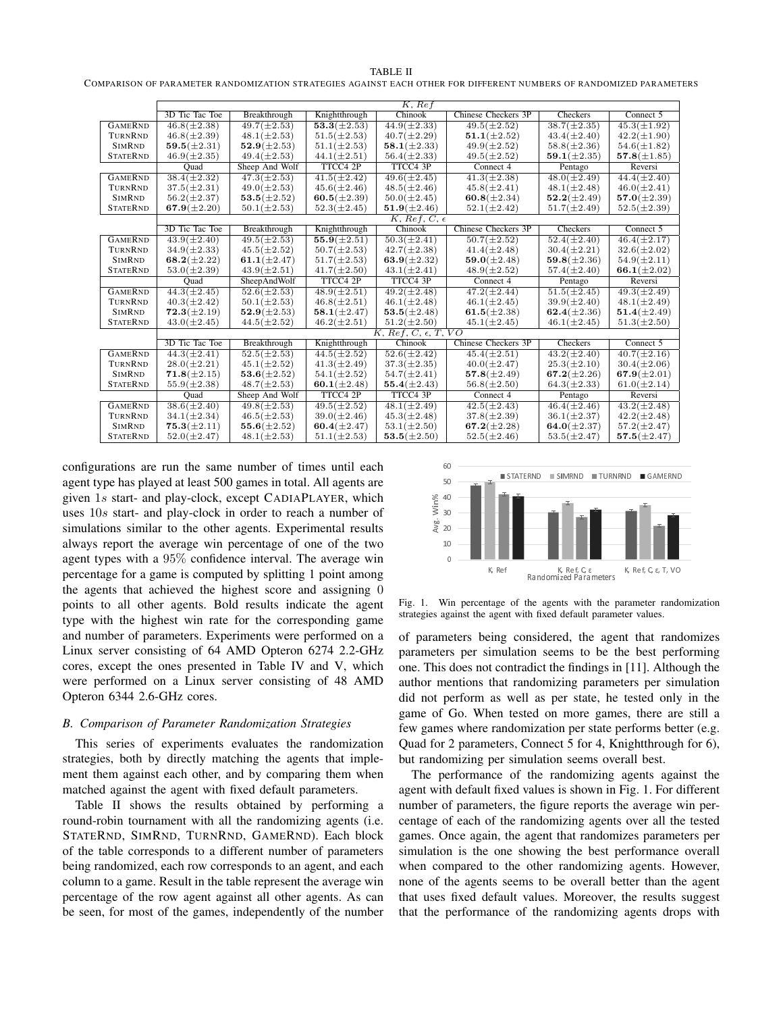TABLE II COMPARISON OF PARAMETER RANDOMIZATION STRATEGIES AGAINST EACH OTHER FOR DIFFERENT NUMBERS OF RANDOMIZED PARAMETERS

|                 |                    |                   |                   | K, Ref                       |                            |                    |                             |
|-----------------|--------------------|-------------------|-------------------|------------------------------|----------------------------|--------------------|-----------------------------|
|                 | 3D Tic Tac Toe     | Breakthrough      | Knightthrough     | Chinook                      | Chinese Checkers 3P        | Checkers           | Connect 5                   |
| <b>GAMERND</b>  | $46.8(\pm 2.38)$   | $49.7(\pm 2.53)$  | $53.3(\pm 2.53)$  | $44.9(\pm 2.33)$             | $49.5(\pm 2.52)$           | $38.7(\pm 2.35)$   | $45.3(\pm 1.92)$            |
| TURNRND         | $46.8(\pm 2.39)$   | $48.1(\pm 2.53)$  | $51.5(\pm 2.53)$  | $40.7(\pm 2.29)$             | $51.1(\pm 2.52)$           | $43.4(\pm 2.40)$   | $42.2(\pm 1.90)$            |
| <b>SIMRND</b>   | $59.5(\pm 2.31)$   | $52.9(\pm 2.53)$  | $51.1(\pm 2.53)$  | $58.1(\pm 2.33)$             | $49.9(\pm 2.52)$           | $58.8(\pm 2.36)$   | $54.6(\pm 1.82)$            |
| <b>STATERND</b> | $46.9(\pm 2.35)$   | $49.4(\pm 2.53)$  | $44.1(\pm 2.51)$  | $56.4(\pm 2.33)$             | $49.5(\pm 2.52)$           | 59.1( $\pm 2.35$ ) | $57.8(\pm 1.85)$            |
|                 | Ouad               | Sheep And Wolf    | TTCC4 2P          | TTCC4 3P                     | Connect 4                  | Pentago            | Reversi                     |
| <b>GAMERND</b>  | $38.4(\pm 2.32)$   | $47.3(\pm 2.53)$  | $41.5(\pm 2.42)$  | $49.6(\pm2.45)$              | $41.3(\pm 2.38)$           | $48.0(\pm 2.49)$   | $44.4(\pm 2.40)$            |
| TURNRND         | $37.5(\pm 2.31)$   | $49.0 (\pm 2.53)$ | $45.6(\pm2.46)$   | $48.5(\pm2.46)$              | $45.8(\pm 2.41)$           | $48.1(\pm2.48)$    | $46.0(\pm 2.41)$            |
| <b>SIMRND</b>   | $56.2(\pm 2.37)$   | $53.5(\pm 2.52)$  | $60.5(\pm 2.39)$  | $50.0 (\pm 2.45)$            | 60.8( $\pm 2.34$ )         | $52.2(\pm 2.49)$   | $57.0(\pm 2.39)$            |
| <b>STATERND</b> | 67.9 $(\pm 2.20)$  | $50.1 (\pm 2.53)$ | $52.3(\pm 2.45)$  | $51.9(\pm 2.46)$             | $52.1(\pm 2.42)$           | $51.7(\pm 2.49)$   | $52.5(\pm 2.39)$            |
|                 |                    |                   |                   | K, Ref. C, $\epsilon$        |                            |                    |                             |
|                 | 3D Tic Tac Toe     | Breakthrough      | Knightthrough     | Chinook                      | <b>Chinese Checkers 3P</b> | Checkers           | Connect 5                   |
| <b>GAMERND</b>  | $43.9(\pm 2.40)$   | $49.5(\pm 2.53)$  | $55.9(\pm 2.51)$  | $50.3(\pm 2.41)$             | $50.7(\pm 2.52)$           | $52.4(\pm 2.40)$   | $46.4(\pm 2.17)$            |
| TURNRND         | $34.9(\pm 2.33)$   | $45.5(\pm 2.52)$  | $50.7(\pm 2.53)$  | $42.7(\pm 2.38)$             | $41.4(\pm 2.48)$           | $30.4(\pm 2.21)$   | $32.6 (\pm 2.02)$           |
| <b>SIMRND</b>   | 68.2( $\pm 2.22$ ) | 61.1( $\pm$ 2.47) | $51.7(\pm 2.53)$  | 63.9( $\pm 2.32$ )           | $59.0(\pm 2.48)$           | $59.8(\pm 2.36)$   | $54.9(\pm2.11)$             |
| <b>STATERND</b> | $53.0(\pm 2.39)$   | $43.9(\pm 2.51)$  | $41.7(\pm 2.50)$  | $43.1(\pm 2.41)$             | $48.9(\pm 2.52)$           | $57.4(\pm2.40)$    | 66.1( $\pm 2.02$ )          |
|                 | Ouad               | SheepAndWolf      | TTCC4 2P          | TTCC4 3P                     | Connect 4                  | Pentago            | Reversi                     |
| <b>GAMERND</b>  | $44.3(\pm 2.45)$   | $52.6(\pm 2.53)$  | $48.9(\pm 2.51)$  | $49.2 (\pm 2.48)$            | $47.2(\pm 2.44)$           | $51.5(\pm 2.45)$   | $\overline{49.3(\pm 2.49)}$ |
| TURNRND         | $40.3(\pm 2.42)$   | $50.1 (\pm 2.53)$ | $46.8(\pm 2.51)$  | $46.1(\pm 2.48)$             | $46.1(\pm 2.45)$           | $39.9(\pm2.40)$    | $48.1(\pm 2.49)$            |
| <b>SIMRND</b>   | $72.3(\pm 2.19)$   | $52.9(\pm 2.53)$  | $58.1(\pm 2.47)$  | $53.5(\pm 2.48)$             | 61.5 $(\pm 2.38)$          | 62.4 $(\pm 2.36)$  | $51.4(\pm 2.49)$            |
| <b>STATERND</b> | $43.0(\pm2.45)$    | $44.5(\pm 2.52)$  | $46.2(\pm 2.51)$  | $51.2(\pm 2.50)$             | $45.1(\pm 2.45)$           | $46.1(\pm 2.45)$   | $51.3(\pm 2.50)$            |
|                 |                    |                   |                   | $K, Ref, C, \epsilon, T, VO$ |                            |                    |                             |
|                 | 3D Tic Tac Toe     | Breakthrough      | Knightthrough     | Chinook                      | Chinese Checkers 3P        | <b>Checkers</b>    | Connect 5                   |
| <b>GAMERND</b>  | $44.3(\pm 2.41)$   | $52.5(\pm 2.53)$  | $44.5(\pm 2.52)$  | $52.6(\pm 2.42)$             | $45.4(\pm 2.51)$           | $43.2(\pm 2.40)$   | $\sqrt{40.7(\pm 2.16)}$     |
| TURNRND         | $28.0(\pm 2.21)$   | $45.1 (\pm 2.52)$ | $41.3(\pm 2.49)$  | $37.3(\pm 2.35)$             | $40.0(\pm 2.47)$           | $25.3(\pm 2.10)$   | $30.4(\pm2.06)$             |
| <b>SIMRND</b>   | $71.8(\pm 2.15)$   | $53.6(\pm 2.52)$  | $54.1(\pm 2.52)$  | $54.7(\pm 2.41)$             | $57.8(\pm 2.49)$           | 67.2 $(\pm 2.26)$  | 67.9 $(\pm 2.01)$           |
| <b>STATERND</b> | $55.9(\pm2.38)$    | $48.7(\pm 2.53)$  | 60.1( $\pm$ 2.48) | 55.4 $(\pm 2.43)$            | $56.8(\pm2.50)$            | $64.3(\pm 2.33)$   | $61.0(\pm 2.14)$            |
|                 | Ouad               | Sheep And Wolf    | TTCC4 2P          | TTCC4 3P                     | Connect 4                  | Pentago            | Reversi                     |
| <b>GAMERND</b>  | $38.6(\pm2.40)$    | $49.8(\pm 2.53)$  | $49.5(\pm 2.52)$  | $48.1(\pm 2.49)$             | $42.5(\pm 2.43)$           | $46.4(\pm 2.46)$   | $43.2(\pm 2.48)$            |
| TURNRND         | $34.1 (\pm 2.34)$  | $46.5(\pm 2.53)$  | $39.0 (\pm 2.46)$ | $45.3(\pm 2.48)$             | $37.8(\pm 2.39)$           | $36.1 (\pm 2.37)$  | $42.2(\pm 2.48)$            |
| <b>SIMRND</b>   | $75.3(\pm 2.11)$   | $55.6(\pm 2.52)$  | 60.4 $(\pm 2.47)$ | $53.1(\pm 2.50)$             | 67.2 $(\pm 2.28)$          | 64.0( $\pm 2.37$ ) | $57.2(\pm 2.47)$            |
| <b>STATERND</b> | $52.0(\pm 2.47)$   | $48.1(\pm 2.53)$  | $51.1(\pm 2.53)$  | $53.5(\pm 2.50)$             | $52.5(\pm2.46)$            | $53.5(\pm2.47)$    | $57.5(\pm 2.47)$            |

configurations are run the same number of times until each agent type has played at least 500 games in total. All agents are given 1s start- and play-clock, except CADIAPLAYER, which uses 10s start- and play-clock in order to reach a number of simulations similar to the other agents. Experimental results always report the average win percentage of one of the two agent types with a 95% confidence interval. The average win percentage for a game is computed by splitting 1 point among the agents that achieved the highest score and assigning 0 points to all other agents. Bold results indicate the agent type with the highest win rate for the corresponding game and number of parameters. Experiments were performed on a Linux server consisting of 64 AMD Opteron 6274 2.2-GHz cores, except the ones presented in Table IV and V, which were performed on a Linux server consisting of 48 AMD Opteron 6344 2.6-GHz cores.

## *B. Comparison of Parameter Randomization Strategies*

This series of experiments evaluates the randomization strategies, both by directly matching the agents that implement them against each other, and by comparing them when matched against the agent with fixed default parameters.

Table II shows the results obtained by performing a round-robin tournament with all the randomizing agents (i.e. STATERND, SIMRND, TURNRND, GAMERND). Each block of the table corresponds to a different number of parameters being randomized, each row corresponds to an agent, and each column to a game. Result in the table represent the average win percentage of the row agent against all other agents. As can be seen, for most of the games, independently of the number



Fig. 1. Win percentage of the agents with the parameter randomization strategies against the agent with fixed default parameter values.

of parameters being considered, the agent that randomizes parameters per simulation seems to be the best performing one. This does not contradict the findings in [11]. Although the author mentions that randomizing parameters per simulation did not perform as well as per state, he tested only in the game of Go. When tested on more games, there are still a few games where randomization per state performs better (e.g. Quad for 2 parameters, Connect 5 for 4, Knightthrough for 6), but randomizing per simulation seems overall best.

The performance of the randomizing agents against the agent with default fixed values is shown in Fig. 1. For different number of parameters, the figure reports the average win percentage of each of the randomizing agents over all the tested games. Once again, the agent that randomizes parameters per simulation is the one showing the best performance overall when compared to the other randomizing agents. However, none of the agents seems to be overall better than the agent that uses fixed default values. Moreover, the results suggest that the performance of the randomizing agents drops with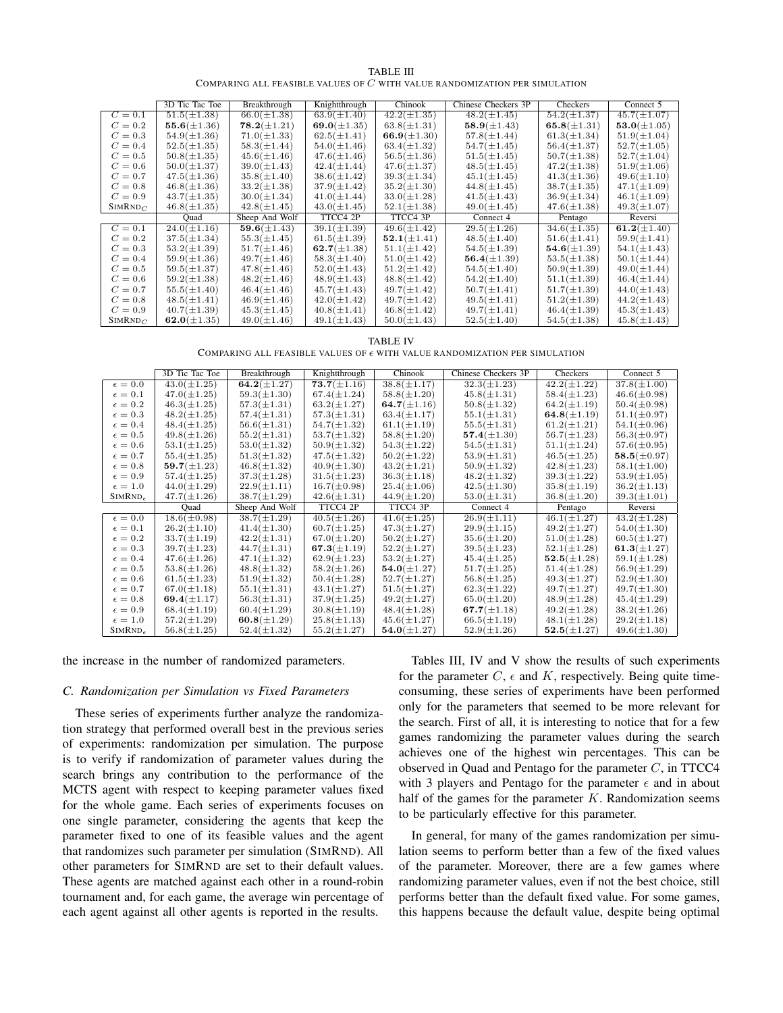|                                                                              | <b>TABLE III</b> |  |
|------------------------------------------------------------------------------|------------------|--|
| COMPARING ALL FEASIBLE VALUES OF $C$ with value randomization per simulation |                  |  |

|                     | 3D Tic Tac Toe    | Breakthrough     | Knightthrough     | Chinook           | Chinese Checkers 3P | Checkers          | Connect 5         |
|---------------------|-------------------|------------------|-------------------|-------------------|---------------------|-------------------|-------------------|
| $C = 0.1$           | $51.5(\pm 1.38)$  | $66.0(\pm 1.38)$ | $63.9(\pm1.40)$   | $42.2(\pm 1.35)$  | $48.2(\pm1.45)$     | $54.2(\pm 1.37)$  | $45.7(\pm1.07)$   |
| $C=0.2$             | $55.6(\pm 1.36)$  | $78.2(\pm1.21)$  | 69.0( $\pm$ 1.35) | $63.8(\pm 1.31)$  | $58.9(\pm 1.43)$    | 65.8 $(\pm 1.31)$ | $53.0(\pm1.05)$   |
| $C = 0.3$           | $54.9(\pm 1.36)$  | $71.0(\pm 1.33)$ | $62.5(\pm 1.41)$  | 66.9( $\pm$ 1.30) | $57.8(\pm 1.44)$    | $61.3(\pm 1.34)$  | $51.9(\pm1.04)$   |
| $C = 0.4$           | $52.5(\pm 1.35)$  | $58.3(\pm1.44)$  | $54.0(\pm1.46)$   | $63.4(\pm 1.32)$  | $54.7(\pm1.45)$     | $56.4(\pm 1.37)$  | $52.7(\pm1.05)$   |
| $C=0.5$             | $50.8(\pm 1.35)$  | $45.6(\pm1.46)$  | $47.6(\pm1.46)$   | $56.5(\pm 1.36)$  | $51.5(\pm 1.45)$    | $50.7(\pm 1.38)$  | $52.7(\pm1.04)$   |
| $C=0.6$             | $50.0(\pm 1.37)$  | $39.0(\pm1.43)$  | $42.4(\pm 1.44)$  | $47.6(\pm 1.37)$  | $48.5(\pm1.45)$     | $47.2(\pm 1.38)$  | $51.9(\pm1.06)$   |
| $C = 0.7$           | $47.5(\pm 1.36)$  | $35.8(\pm1.40)$  | $38.6(\pm 1.42)$  | $39.3(\pm 1.34)$  | $45.1(\pm1.45)$     | $41.3(\pm 1.36)$  | $49.6(\pm1.10)$   |
| $C=0.8$             | $46.8(\pm 1.36)$  | $33.2(\pm 1.38)$ | $37.9(\pm1.42)$   | $35.2(\pm 1.30)$  | $44.8(\pm1.45)$     | $38.7(\pm 1.35)$  | $47.1(\pm1.09)$   |
| $C = 0.9$           | $43.7(\pm 1.35)$  | $30.0(\pm 1.34)$ | $41.0(\pm 1.44)$  | $33.0(\pm1.28)$   | $41.5(\pm 1.43)$    | $36.9(\pm 1.34)$  | $46.1(\pm1.09)$   |
| SIMRND <sub>C</sub> | $46.8(\pm 1.35)$  | $42.8(\pm1.45)$  | $43.0(\pm1.45)$   | $52.1(\pm 1.38)$  | $49.0(\pm1.45)$     | $47.6(\pm 1.38)$  | $49.3(\pm1.07)$   |
|                     | Ouad              | Sheep And Wolf   | TTCC4 2P          | TTCC4 3P          | Connect 4           | Pentago           | Reversi           |
| $C=0.1$             | $24.0(\pm1.16)$   | $59.6(\pm 1.43)$ | $39.1(\pm 1.39)$  | $49.6(\pm 1.42)$  | $29.5(\pm 1.26)$    | $34.6(\pm 1.35)$  | 61.2( $\pm$ 1.40) |
| $C=0.2$             | $37.5(\pm 1.34)$  | $55.3(\pm 1.45)$ | $61.5(\pm 1.39)$  | $52.1(\pm 1.41)$  | $48.5(\pm1.40)$     | $51.6(\pm 1.41)$  | $59.9(\pm1.41)$   |
| $C=0.3$             | $53.2(\pm 1.39)$  | $51.7(\pm1.46)$  | 62.7( $\pm$ 1.38) | $51.1(\pm 1.42)$  | $54.5(\pm 1.39)$    | $54.6(\pm 1.39)$  | $54.1(\pm1.43)$   |
| $C = 0.4$           | $59.9(\pm 1.36)$  | $49.7(\pm1.46)$  | $58.3(\pm1.40)$   | $51.0(\pm 1.42)$  | 56.4( $\pm$ 1.39)   | $53.5(\pm 1.38)$  | $50.1(\pm 1.44)$  |
| $C=0.5$             | $59.5(\pm 1.37)$  | $47.8(\pm1.46)$  | $52.0(\pm 1.43)$  | $51.2(\pm 1.42)$  | $54.5(\pm1.40)$     | $50.9(\pm 1.39)$  | $49.0(\pm1.44)$   |
| $C=0.6$             | $59.2(\pm 1.38)$  | $48.2(\pm1.46)$  | $48.9(\pm1.43)$   | $48.8(\pm1.42)$   | $54.2(\pm1.40)$     | $51.1(\pm 1.39)$  | $46.4(\pm 1.44)$  |
| $C = 0.7$           | $55.5(\pm1.40)$   | $46.4(\pm1.46)$  | $45.7(\pm1.43)$   | $49.7(\pm1.42)$   | $50.7(\pm1.41)$     | $51.7(\pm 1.39)$  | $44.0(\pm1.43)$   |
| $C=0.8$             | $48.5(\pm 1.41)$  | $46.9(\pm1.46)$  | $42.0(\pm1.42)$   | $49.7(\pm1.42)$   | $49.5(\pm1.41)$     | $51.2(\pm 1.39)$  | $44.2(\pm 1.43)$  |
| $C=0.9$             | $40.7(\pm 1.39)$  | $45.3(\pm1.45)$  | $40.8(\pm 1.41)$  | $46.8(\pm1.42)$   | $49.7(\pm1.41)$     | $46.4(\pm 1.39)$  | $45.3(\pm1.43)$   |
| SIMRND <sub>C</sub> | 62.0( $\pm$ 1.35) | $49.0(\pm1.46)$  | $49.1(\pm1.43)$   | $50.0(\pm 1.43)$  | $52.5(\pm1.40)$     | $54.5(\pm 1.38)$  | $45.8(\pm1.43)$   |

TABLE IV

COMPARING ALL FEASIBLE VALUES OF  $\epsilon$  with value randomization per simulation

|                     | 3D Tic Tac Toe    | Breakthrough      | Knightthrough     | Chinook           | Chinese Checkers 3P | Checkers          | Connect 5         |
|---------------------|-------------------|-------------------|-------------------|-------------------|---------------------|-------------------|-------------------|
| $\epsilon = 0.0$    | $43.0(\pm1.25)$   | $64.2(\pm 1.27)$  | $73.7(\pm1.16)$   | $38.8(\pm 1.17)$  | $32.3(\pm 1.23)$    | $42.2(\pm 1.22)$  | $37.8(\pm1.00)$   |
| $\epsilon=0.1$      | $47.0(\pm1.25)$   | $59.3(\pm 1.30)$  | $67.4(\pm 1.24)$  | $58.8(\pm1.20)$   | $45.8(\pm 1.31)$    | $58.4(\pm 1.23)$  | $46.6(\pm 0.98)$  |
| $\epsilon=0.2$      | $46.3(\pm1.25)$   | $57.3(\pm 1.31)$  | $63.2(\pm 1.27)$  | 64.7( $\pm$ 1.16) | $50.8(\pm 1.32)$    | $64.2(\pm 1.19)$  | $50.4(\pm 0.98)$  |
| $\epsilon = 0.3$    | $48.2(\pm 1.25)$  | $57.4(\pm 1.31)$  | $57.3(\pm 1.31)$  | $63.4(\pm 1.17)$  | $55.1(\pm 1.31)$    | 64.8( $\pm$ 1.19) | $51.1(\pm 0.97)$  |
| $\epsilon = 0.4$    | $48.4(\pm 1.25)$  | $56.6(\pm 1.31)$  | $54.7(\pm 1.32)$  | $61.1(\pm 1.19)$  | $55.5(\pm 1.31)$    | $61.2(\pm 1.21)$  | $54.1(\pm 0.96)$  |
| $\epsilon=0.5$      | $49.8(\pm1.26)$   | $55.2(\pm 1.31)$  | $53.7(\pm 1.32)$  | $58.8(\pm1.20)$   | 57.4 $(\pm 1.30)$   | $56.7(\pm 1.23)$  | $56.3(\pm 0.97)$  |
| $\epsilon = 0.6$    | $53.1(\pm 1.25)$  | $53.0(\pm 1.32)$  | $50.9(\pm 1.32)$  | $54.3(\pm 1.22)$  | $54.5(\pm 1.31)$    | $51.1(\pm 1.24)$  | $57.6(\pm 0.95)$  |
| $\epsilon = 0.7$    | $55.4(\pm 1.25)$  | $51.3(\pm 1.32)$  | $47.5(\pm 1.32)$  | $50.2(\pm 1.22)$  | $53.9(\pm 1.31)$    | $46.5(\pm 1.25)$  | $58.5(\pm 0.97)$  |
| $\epsilon = 0.8$    | 59.7( $\pm$ 1.23) | $46.8(\pm 1.32)$  | $40.9(\pm1.30)$   | $43.2(\pm 1.21)$  | $50.9(\pm 1.32)$    | $42.8(\pm 1.23)$  | $58.1(\pm1.00)$   |
| $\epsilon = 0.9$    | $57.4(\pm 1.25)$  | $37.3(\pm 1.28)$  | $31.5(\pm 1.23)$  | $36.3(\pm 1.18)$  | $48.2(\pm 1.32)$    | $39.3(\pm 1.22)$  | $53.9(\pm1.05)$   |
| $\epsilon = 1.0$    | $44.0(\pm 1.29)$  | $22.9(\pm 1.11)$  | $16.7(\pm 0.98)$  | $25.4(\pm1.06)$   | $42.5(\pm 1.30)$    | $35.8(\pm 1.19)$  | $36.2(\pm 1.13)$  |
| SIMRND <sub>e</sub> | $47.7(\pm1.26)$   | $38.7(\pm1.29)$   | $42.6(\pm 1.31)$  | $44.9(\pm1.20)$   | $53.0(\pm 1.31)$    | $36.8(\pm1.20)$   | $39.3(\pm1.01)$   |
|                     | Quad              | Sheep And Wolf    | TTCC4 2P          | TTCC4 3P          | Connect 4           | Pentago           | Reversi           |
| $\epsilon = 0.0$    | $18.6(\pm 0.98)$  | $38.7(\pm1.29)$   | $40.5(\pm 1.26)$  | $41.6(\pm 1.25)$  | $26.9(\pm 1.11)$    | $46.1(\pm 1.27)$  | $43.2(\pm 1.28)$  |
| $\epsilon=0.1$      | $26.2(\pm1.10)$   | $41.4(\pm 1.30)$  | $60.7(\pm1.25)$   | $47.3(\pm 1.27)$  | $29.9(\pm1.15)$     | $49.2(\pm 1.27)$  | $54.0(\pm1.30)$   |
| $\epsilon=0.2$      | $33.7(\pm1.19)$   | $42.2(\pm 1.31)$  | $67.0(\pm1.20)$   | $50.2(\pm 1.27)$  | $35.6(\pm1.20)$     | $51.0(\pm 1.28)$  | $60.5(\pm 1.27)$  |
| $\epsilon = 0.3$    | $39.7(\pm 1.23)$  | $44.7(\pm 1.31)$  | 67.3( $\pm$ 1.19) | $52.2(\pm 1.27)$  | $39.5(\pm 1.23)$    | $52.1(\pm 1.28)$  | 61.3( $\pm$ 1.27) |
| $\epsilon = 0.4$    | $47.6(\pm 1.26)$  | $47.1(\pm 1.32)$  | $62.9(\pm 1.23)$  | $53.2(\pm 1.27)$  | $45.4(\pm 1.25)$    | $52.5(\pm 1.28)$  | $59.1(\pm 1.28)$  |
| $\epsilon = 0.5$    | $53.8(\pm 1.26)$  | $48.8(\pm 1.32)$  | $58.2(\pm 1.26)$  | $54.0(\pm 1.27)$  | $51.7(\pm 1.25)$    | $51.4(\pm 1.28)$  | $56.9(\pm 1.29)$  |
| $\epsilon = 0.6$    | $61.5(\pm 1.23)$  | $51.9(\pm 1.32)$  | $50.4(\pm 1.28)$  | $52.7(\pm 1.27)$  | $56.8(\pm 1.25)$    | $49.3(\pm 1.27)$  | $52.9(\pm 1.30)$  |
| $\epsilon=0.7$      | $67.0(\pm1.18)$   | $55.1(\pm 1.31)$  | $43.1(\pm 1.27)$  | $51.5(\pm 1.27)$  | $62.3(\pm 1.22)$    | $49.7(\pm1.27)$   | $49.7(\pm1.30)$   |
| $\epsilon = 0.8$    | 69.4 $(\pm 1.17)$ | $56.3(\pm 1.31)$  | $37.9(\pm 1.25)$  | $49.2 (\pm 1.27)$ | $65.0(\pm1.20)$     | $48.9(\pm1.28)$   | $45.4(\pm 1.29)$  |
| $\epsilon = 0.9$    | $68.4(\pm1.19)$   | $60.4(\pm 1.29)$  | $30.8(\pm1.19)$   | $48.4(\pm1.28)$   | 67.7( $\pm$ 1.18)   | $49.2(\pm1.28)$   | $38.2(\pm1.26)$   |
| $\epsilon = 1.0$    | $57.2(\pm 1.29)$  | 60.8( $\pm$ 1.29) | $25.8(\pm1.13)$   | $45.6(\pm 1.27)$  | $66.5(\pm 1.19)$    | $48.1(\pm1.28)$   | $29.2(\pm 1.18)$  |
| SIMRND <sub>e</sub> | $56.8(\pm 1.25)$  | $52.4(\pm 1.32)$  | $55.2(\pm 1.27)$  | $54.0(\pm 1.27)$  | $52.9(\pm 1.26)$    | $52.5(\pm 1.27)$  | $49.6(\pm 1.30)$  |

the increase in the number of randomized parameters.

#### *C. Randomization per Simulation vs Fixed Parameters*

These series of experiments further analyze the randomization strategy that performed overall best in the previous series of experiments: randomization per simulation. The purpose is to verify if randomization of parameter values during the search brings any contribution to the performance of the MCTS agent with respect to keeping parameter values fixed for the whole game. Each series of experiments focuses on one single parameter, considering the agents that keep the parameter fixed to one of its feasible values and the agent that randomizes such parameter per simulation (SIMRND). All other parameters for SIMRND are set to their default values. These agents are matched against each other in a round-robin tournament and, for each game, the average win percentage of each agent against all other agents is reported in the results.

Tables III, IV and V show the results of such experiments for the parameter  $C$ ,  $\epsilon$  and  $K$ , respectively. Being quite timeconsuming, these series of experiments have been performed only for the parameters that seemed to be more relevant for the search. First of all, it is interesting to notice that for a few games randomizing the parameter values during the search achieves one of the highest win percentages. This can be observed in Quad and Pentago for the parameter  $C$ , in TTCC4 with 3 players and Pentago for the parameter  $\epsilon$  and in about half of the games for the parameter  $K$ . Randomization seems to be particularly effective for this parameter.

In general, for many of the games randomization per simulation seems to perform better than a few of the fixed values of the parameter. Moreover, there are a few games where randomizing parameter values, even if not the best choice, still performs better than the default fixed value. For some games, this happens because the default value, despite being optimal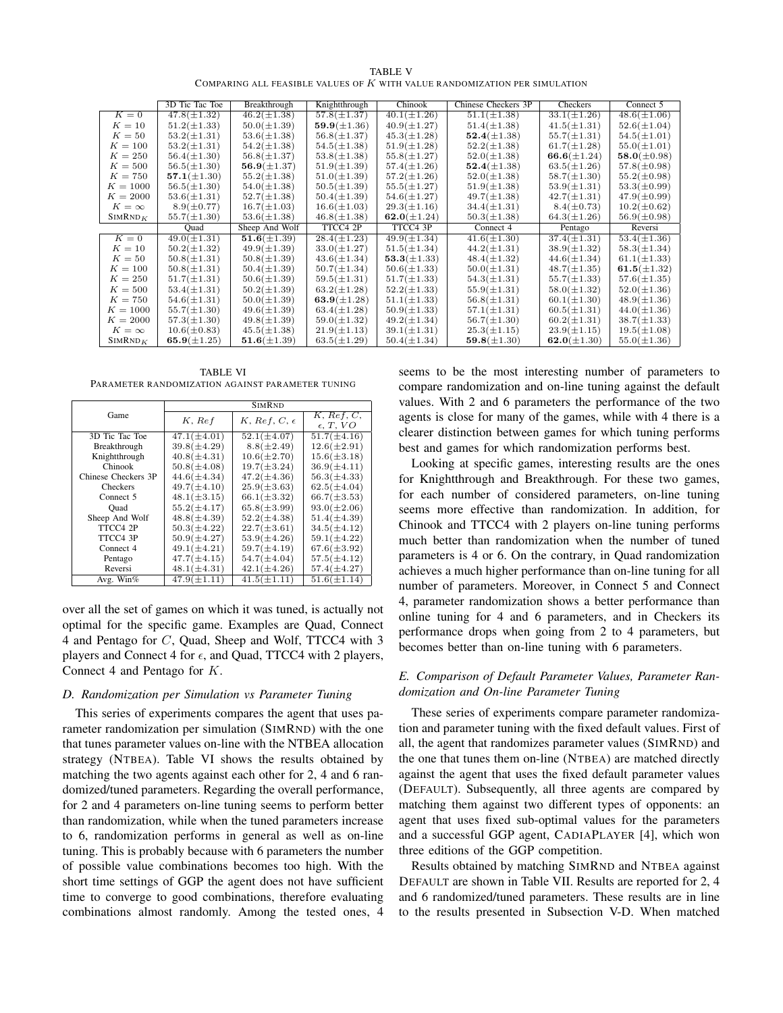|                                                                              | <b>TABLE V</b> |  |
|------------------------------------------------------------------------------|----------------|--|
| COMPARING ALL FEASIBLE VALUES OF $K$ with value randomization per simulation |                |  |

|                     | 3D Tic Tac Toe    | Breakthrough     | Knightthrough     | Chinook           | Chinese Checkers 3P | Checkers          | Connect 5         |
|---------------------|-------------------|------------------|-------------------|-------------------|---------------------|-------------------|-------------------|
| $K=0$               | $47.8(\pm1.32)$   | $46.2(\pm 1.38)$ | $57.8(\pm 1.37)$  | $40.1(\pm 1.26)$  | $51.1(\pm 1.38)$    | $33.1(\pm 1.26)$  | $48.6(\pm1.06)$   |
| $K=10$              | $51.2(\pm 1.33)$  | $50.0(\pm 1.39)$ | $59.9(\pm 1.36)$  | $40.9(\pm 1.27)$  | $51.4(\pm 1.38)$    | $41.5(\pm 1.31)$  | $52.6(\pm1.04)$   |
| $K=50$              | $53.2(\pm 1.31)$  | $53.6(\pm 1.38)$ | $56.8(\pm 1.37)$  | $45.3(\pm 1.28)$  | $52.4(\pm 1.38)$    | $55.7(\pm 1.31)$  | $54.5(\pm1.01)$   |
| $K=100$             | $53.2(\pm 1.31)$  | $54.2(\pm 1.38)$ | $54.5(\pm 1.38)$  | $51.9(\pm 1.28)$  | $52.2(\pm 1.38)$    | $61.7(\pm 1.28)$  | $55.0(\pm1.01)$   |
| $K=250$             | $56.4(\pm 1.30)$  | $56.8(\pm 1.37)$ | $53.8(\pm 1.38)$  | $55.8(\pm 1.27)$  | $52.0(\pm 1.38)$    | $66.6(\pm 1.24)$  | $58.0(\pm 0.98)$  |
| $K=500$             | $56.5(\pm 1.30)$  | $56.9(\pm 1.37)$ | $51.9(\pm 1.39)$  | $57.4(\pm 1.26)$  | $52.4(\pm 1.38)$    | $63.5(\pm 1.26)$  | $57.8(\pm 0.98)$  |
| $K = 750$           | 57.1( $\pm$ 1.30) | $55.2(\pm 1.38)$ | $51.0(\pm 1.39)$  | $57.2(\pm 1.26)$  | $52.0(\pm 1.38)$    | $58.7(\pm1.30)$   | $55.2(\pm 0.98)$  |
| $K = 1000$          | $56.5(\pm 1.30)$  | $54.0(\pm1.38)$  | $50.5(\pm 1.39)$  | $55.5(\pm 1.27)$  | $51.9(\pm 1.38)$    | $53.9(\pm 1.31)$  | $53.3(\pm 0.99)$  |
| $K = 2000$          | $53.6(\pm 1.31)$  | $52.7(\pm 1.38)$ | $50.4(\pm 1.39)$  | $54.6(\pm 1.27)$  | $49.7(\pm1.38)$     | $42.7(\pm 1.31)$  | $47.9(\pm 0.99)$  |
| $K=\infty$          | $8.9(\pm 0.77)$   | $16.7(\pm 1.03)$ | $16.6(\pm 1.03)$  | $29.3(\pm1.16)$   | $34.4(\pm 1.31)$    | $8.4(\pm 0.73)$   | $10.2 (\pm 0.62)$ |
| SIMRND <sub>K</sub> | $55.7(\pm1.30)$   | $53.6(\pm 1.38)$ | $46.8(\pm 1.38)$  | 62.0( $\pm$ 1.24) | $50.3(\pm 1.38)$    | $64.3(\pm1.26)$   | $56.9(\pm 0.98)$  |
|                     | Quad              | Sheep And Wolf   | TTCC4 2P          | TTCC4 3P          | Connect 4           | Pentago           | Reversi           |
| $K=0$               | $49.0(\pm 1.31)$  | $51.6(\pm 1.39)$ | $28.4(\pm 1.23)$  | $49.9(\pm 1.34)$  | $41.6(\pm 1.30)$    | $37.4(\pm 1.31)$  | $53.4(\pm 1.36)$  |
| $K=10$              | $50.2(\pm 1.32)$  | $49.9(\pm 1.39)$ | $33.0(\pm 1.27)$  | $51.5(\pm 1.34)$  | $44.2(\pm 1.31)$    | $38.9(\pm 1.32)$  | $58.3(\pm 1.34)$  |
| $K=50$              | $50.8(\pm 1.31)$  | $50.8(\pm 1.39)$ | $43.6(\pm 1.34)$  | $53.3(\pm 1.33)$  | $48.4(\pm 1.32)$    | $44.6(\pm 1.34)$  | $61.1(\pm 1.33)$  |
| $K=100$             | $50.8(\pm 1.31)$  | $50.4(\pm 1.39)$ | $50.7(\pm 1.34)$  | $50.6(\pm 1.33)$  | $50.0(\pm 1.31)$    | $48.7(\pm1.35)$   | 61.5( $\pm$ 1.32) |
| $K = 250$           | $51.7(\pm 1.31)$  | $50.6(\pm 1.39)$ | $59.5(\pm 1.31)$  | $51.7(\pm 1.33)$  | $54.3(\pm 1.31)$    | $55.7(\pm 1.33)$  | $57.6(\pm 1.35)$  |
| $K=500$             | $53.4(\pm 1.31)$  | $50.2(\pm 1.39)$ | $63.2(\pm1.28)$   | $52.2(\pm 1.33)$  | $55.9(\pm 1.31)$    | $58.0(\pm 1.32)$  | $52.0(\pm1.36)$   |
| $K = 750$           | $54.6(\pm 1.31)$  | $50.0(\pm 1.39)$ | 63.9( $\pm$ 1.28) | $51.1(\pm 1.33)$  | $56.8(\pm 1.31)$    | $60.1(\pm 1.30)$  | $48.9(\pm1.36)$   |
| $K = 1000$          | $55.7(\pm1.30)$   | $49.6(\pm 1.39)$ | $63.4(\pm1.28)$   | $50.9(\pm 1.33)$  | $57.1(\pm 1.31)$    | $60.5(\pm 1.31)$  | $44.0(\pm1.36)$   |
| $K = 2000$          | $57.3(\pm 1.30)$  | $49.8(\pm 1.39)$ | $59.0(\pm1.32)$   | $49.2(\pm 1.34)$  | $56.7(\pm1.30)$     | $60.2(\pm 1.31)$  | $38.7(\pm 1.33)$  |
| $K=\infty$          | $10.6(\pm 0.83)$  | $45.5(\pm 1.38)$ | $21.9(\pm 1.13)$  | $39.1(\pm 1.31)$  | $25.3(\pm 1.15)$    | $23.9(\pm 1.15)$  | $19.5(\pm1.08)$   |
| SIMRND <sub>K</sub> | 65.9( $\pm$ 1.25) | $51.6(\pm 1.39)$ | $63.5(\pm 1.29)$  | $50.4(\pm 1.34)$  | 59.8( $\pm$ 1.30)   | 62.0( $\pm$ 1.30) | $55.0(\pm 1.36)$  |

TABLE VI PARAMETER RANDOMIZATION AGAINST PARAMETER TUNING

|                     |                  | <b>SIMRND</b>         |                                  |
|---------------------|------------------|-----------------------|----------------------------------|
| Game                | $K$ , $Re\,f$    | K, Ref, C, $\epsilon$ | K, Ref, C,<br>$\epsilon$ , T, VO |
| 3D Tic Tac Toe      | $47.1(\pm 4.01)$ | $52.1(\pm 4.07)$      | $51.7(\pm4.16)$                  |
| Breakthrough        | $39.8(\pm 4.29)$ | $8.8(\pm2.49)$        | $12.6(\pm 2.91)$                 |
| Knightthrough       | $40.8(\pm 4.31)$ | $10.6(\pm 2.70)$      | $15.6(\pm 3.18)$                 |
| Chinook             | $50.8(\pm 4.08)$ | $19.7(\pm 3.24)$      | $36.9(\pm 4.11)$                 |
| Chinese Checkers 3P | $44.6(\pm 4.34)$ | $47.2(\pm 4.36)$      | $56.3(\pm 4.33)$                 |
| Checkers            | $49.7(\pm4.10)$  | $25.9(\pm3.63)$       | $62.5(\pm4.04)$                  |
| Connect 5           | $48.1(\pm3.15)$  | $66.1(\pm 3.32)$      | $66.7(\pm 3.53)$                 |
| Ouad                | $55.2(\pm 4.17)$ | $65.8(\pm 3.99)$      | $93.0 (\pm 2.06)$                |
| Sheep And Wolf      | $48.8(\pm 4.39)$ | $52.2(\pm 4.38)$      | $51.4(\pm 4.39)$                 |
| TTCC4 2P            | $50.3(\pm 4.22)$ | $22.7(\pm 3.61)$      | $34.5(\pm 4.12)$                 |
| TTCC4 3P            | $50.9(\pm 4.27)$ | $53.9(\pm4.26)$       | $59.1 (\pm 4.22)$                |
| Connect 4           | $49.1(\pm 4.21)$ | $59.7(\pm 4.19)$      | $67.6(\pm 3.92)$                 |
| Pentago             | $47.7(\pm 4.15)$ | $54.7(\pm4.04)$       | $57.5(\pm 4.12)$                 |
| Reversi             | $48.1(\pm 4.31)$ | $42.1(\pm 4.26)$      | $57.4(\pm 4.27)$                 |
| Avg. Win%           | $47.9(\pm1.11)$  | $41.5(\pm 1.11)$      | $51.6(\pm 1.14)$                 |

over all the set of games on which it was tuned, is actually not optimal for the specific game. Examples are Quad, Connect 4 and Pentago for C, Quad, Sheep and Wolf, TTCC4 with 3 players and Connect 4 for  $\epsilon$ , and Quad, TTCC4 with 2 players, Connect 4 and Pentago for K.

## *D. Randomization per Simulation vs Parameter Tuning*

This series of experiments compares the agent that uses parameter randomization per simulation (SIMRND) with the one that tunes parameter values on-line with the NTBEA allocation strategy (NTBEA). Table VI shows the results obtained by matching the two agents against each other for 2, 4 and 6 randomized/tuned parameters. Regarding the overall performance, for 2 and 4 parameters on-line tuning seems to perform better than randomization, while when the tuned parameters increase to 6, randomization performs in general as well as on-line tuning. This is probably because with 6 parameters the number of possible value combinations becomes too high. With the short time settings of GGP the agent does not have sufficient time to converge to good combinations, therefore evaluating combinations almost randomly. Among the tested ones, 4

seems to be the most interesting number of parameters to compare randomization and on-line tuning against the default values. With 2 and 6 parameters the performance of the two agents is close for many of the games, while with 4 there is a clearer distinction between games for which tuning performs best and games for which randomization performs best.

Looking at specific games, interesting results are the ones for Knightthrough and Breakthrough. For these two games, for each number of considered parameters, on-line tuning seems more effective than randomization. In addition, for Chinook and TTCC4 with 2 players on-line tuning performs much better than randomization when the number of tuned parameters is 4 or 6. On the contrary, in Quad randomization achieves a much higher performance than on-line tuning for all number of parameters. Moreover, in Connect 5 and Connect 4, parameter randomization shows a better performance than online tuning for 4 and 6 parameters, and in Checkers its performance drops when going from 2 to 4 parameters, but becomes better than on-line tuning with 6 parameters.

# *E. Comparison of Default Parameter Values, Parameter Randomization and On-line Parameter Tuning*

These series of experiments compare parameter randomization and parameter tuning with the fixed default values. First of all, the agent that randomizes parameter values (SIMRND) and the one that tunes them on-line (NTBEA) are matched directly against the agent that uses the fixed default parameter values (DEFAULT). Subsequently, all three agents are compared by matching them against two different types of opponents: an agent that uses fixed sub-optimal values for the parameters and a successful GGP agent, CADIAPLAYER [4], which won three editions of the GGP competition.

Results obtained by matching SIMRND and NTBEA against DEFAULT are shown in Table VII. Results are reported for 2, 4 and 6 randomized/tuned parameters. These results are in line to the results presented in Subsection V-D. When matched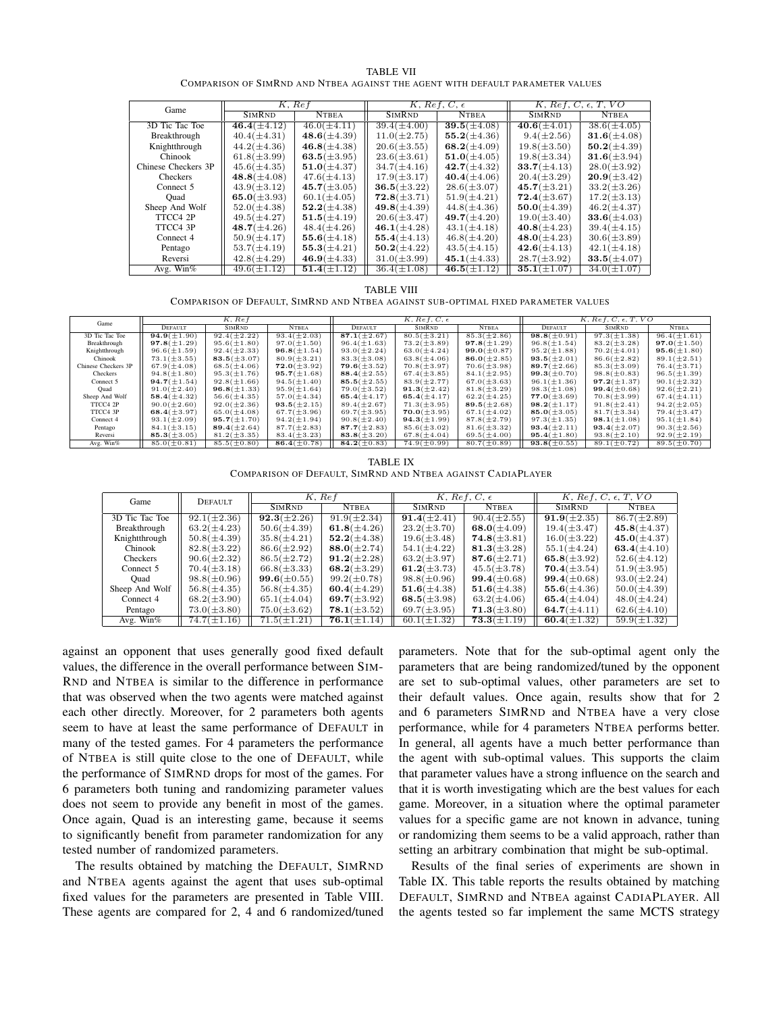| <b>TABLE VII</b>                                                               |  |
|--------------------------------------------------------------------------------|--|
| COMPARISON OF SIMRND AND NTBEA AGAINST THE AGENT WITH DEFAULT PARAMETER VALUES |  |

| Game                | K, Ref            |                   |                   | $K, Ref, C, \epsilon$ |                   | K, Ref, C, $\epsilon$ , T, VO |
|---------------------|-------------------|-------------------|-------------------|-----------------------|-------------------|-------------------------------|
|                     | <b>SIMRND</b>     | <b>NTBEA</b>      | <b>SIMRND</b>     | <b>NTBEA</b>          | <b>SIMRND</b>     | <b>NTBEA</b>                  |
| 3D Tic Tac Toe      | $46.4(\pm 4.12)$  | $46.0(\pm 4.11)$  | $39.4(\pm4.00)$   | $39.5(\pm4.08)$       | $40.6(\pm 4.01)$  | $38.6(\pm4.05)$               |
| Breakthrough        | $40.4(\pm 4.31)$  | $48.6(\pm 4.39)$  | $11.0(\pm 2.75)$  | $55.2(\pm 4.36)$      | $9.4(\pm 2.56)$   | $31.6 (\pm 4.08)$             |
| Knightthrough       | $44.2(\pm 4.36)$  | $46.8(\pm 4.38)$  | $20.6(\pm 3.55)$  | 68.2( $\pm$ 4.09)     | $19.8(\pm3.50)$   | $50.2(\pm 4.39)$              |
| Chinook             | $61.8(\pm 3.99)$  | 63.5( $\pm$ 3.95) | $23.6(\pm 3.61)$  | $51.0(\pm 4.05)$      | $19.8(\pm 3.34)$  | $31.6(\pm 3.94)$              |
| Chinese Checkers 3P | $45.6(\pm 4.35)$  | $51.0(\pm 4.37)$  | $34.7(\pm4.16)$   | $42.7(\pm 4.32)$      | 33.7 $(\pm 4.13)$ | $28.0(\pm 3.92)$              |
| Checkers            | $48.8(\pm 4.08)$  | $47.6(\pm 4.13)$  | $17.9(\pm 3.17)$  | $40.4(\pm4.06)$       | $20.4(\pm 3.29)$  | $20.9(\pm 3.42)$              |
| Connect 5           | $43.9(\pm3.12)$   | $45.7(\pm3.05)$   | $36.5(\pm 3.22)$  | $28.6(\pm3.07)$       | $45.7(\pm 3.21)$  | $33.2(\pm 3.26)$              |
| Ouad                | 65.0( $\pm$ 3.93) | $60.1(\pm 4.05)$  | $72.8(\pm 3.71)$  | $51.9(\pm 4.21)$      | $72.4(\pm 3.67)$  | $17.2(\pm 3.13)$              |
| Sheep And Wolf      | $52.0(\pm 4.38)$  | $52.2(\pm 4.38)$  | $49.8(\pm 4.39)$  | $44.8(\pm4.36)$       | $50.0(\pm 4.39)$  | $46.2(\pm 4.37)$              |
| TTCC4 2P            | $49.5(\pm 4.27)$  | $51.5(\pm 4.19)$  | $20.6(\pm 3.47)$  | $49.7(\pm 4.20)$      | $19.0(\pm 3.40)$  | $33.6(\pm4.03)$               |
| TTCC4 3P            | $48.7(\pm 4.26)$  | $48.4(\pm4.26)$   | $46.1(\pm 4.28)$  | $43.1(\pm 4.18)$      | $40.8(\pm 4.23)$  | $39.4(\pm4.15)$               |
| Connect 4           | $50.9(\pm 4.17)$  | $55.6(\pm 4.18)$  | $55.4(\pm 4.13)$  | $46.8(\pm4.20)$       | $48.0(\pm 4.23)$  | $30.6(\pm 3.89)$              |
| Pentago             | $53.7(\pm 4.19)$  | $55.3(\pm 4.21)$  | $50.2 (\pm 4.22)$ | $43.5(\pm4.15)$       | $42.6(\pm 4.13)$  | $42.1(\pm 4.18)$              |
| Reversi             | $42.8(\pm 4.29)$  | $46.9(\pm 4.33)$  | $31.0(\pm 3.99)$  | $45.1(\pm 4.33)$      | $28.7(\pm 3.92)$  | $33.5(\pm 4.07)$              |
| Avg. Win $%$        | $49.6(\pm 1.12)$  | $51.4(\pm 1.12)$  | $36.4(\pm1.08)$   | $46.5(\pm 1.12)$      | $35.1(\pm1.07)$   | $34.0(\pm1.07)$               |

#### TABLE VIII

COMPARISON OF DEFAULT, SIMRND AND NTBEA AGAINST SUB-OPTIMAL FIXED PARAMETER VALUES

| Game                |                    | $K.$ $Ref$        |                   | $K, Ref, C, \epsilon$ |                   |                    | $K, Ref, C, \epsilon, T, VO$ |                   |                   |
|---------------------|--------------------|-------------------|-------------------|-----------------------|-------------------|--------------------|------------------------------|-------------------|-------------------|
|                     | <b>DEFAULT</b>     | <b>SIMRND</b>     | <b>NTBEA</b>      | DEFAULT               | <b>SIMRND</b>     | <b>NTBEA</b>       | DEFAULT                      | <b>SIMRND</b>     | <b>NTBEA</b>      |
| 3D Tic Tac Toe      | $94.9(\pm1.90)$    | $92.4(\pm 2.22)$  | $93.4(\pm 2.03)$  | 87.1 $(\pm 2.67)$     | $80.5 (\pm 3.21)$ | $85.3(\pm 2.86)$   | $98.8(\pm 0.91)$             | $97.3(\pm 1.38)$  | $96.4(\pm 1.61)$  |
| Breakthrough        | $97.8(\pm1.29)$    | $95.6(\pm1.80)$   | $97.0(\pm1.50)$   | $96.4(\pm 1.63)$      | $73.2(\pm3.89)$   | $97.8(\pm 1.29)$   | $96.8(\pm 1.54)$             | $83.2(\pm3.28)$   | $97.0(\pm1.50)$   |
| Knightthrough       | $96.6(\pm 1.59)$   | $92.4(\pm 2.33)$  | $96.8(\pm 1.54)$  | $93.0 (\pm 2.24)$     | $63.0(\pm 4.24)$  | 99.0( $\pm$ 0.87)  | $95.2 (\pm 1.88)$            | $70.2(\pm 4.01)$  | $95.6(\pm1.80)$   |
| Chinook             | $73.1(\pm3.55)$    | 83.5 $(\pm 3.07)$ | $80.9(\pm 3.21)$  | $83.3(\pm3.08)$       | $63.8(\pm4.06)$   | 86.0( $\pm 2.85$ ) | $93.5(\pm 2.01)$             | $86.6(\pm 2.82)$  | $89.1(\pm 2.51)$  |
| Chinese Checkers 3P | $67.9(\pm4.08)$    | $68.5(\pm4.06)$   | $72.0(\pm 3.92)$  | $79.6 (\pm 3.52)$     | $70.8(\pm 3.97)$  | $70.6(\pm 3.98)$   | 89.7( $\pm 2.66$ )           | $85.3(\pm3.09)$   | $76.4(\pm 3.71)$  |
| Checkers            | $94.8(\pm1.80)$    | $95.3(\pm 1.76)$  | $95.7(\pm1.68)$   | 88.4 $(\pm 2.55)$     | $67.4(\pm 3.85)$  | $84.1(\pm 2.95)$   | 99.3( $\pm$ 0.70)            | $98.8(\pm 0.83)$  | $96.5(\pm 1.39)$  |
| Connect 5           | 94.7( $\pm$ 1.54)  | $92.8(\pm1.66)$   | $94.5(\pm1.40)$   | 85.5( $\pm 2.55$ )    | $83.9(\pm 2.77)$  | $67.0(\pm3.63)$    | $96.1 (\pm 1.36)$            | $97.2(\pm 1.37)$  | $90.1 (\pm 2.32)$ |
| Quad                | $91.0(\pm2.40)$    | $96.8(\pm 1.33)$  | $95.9(\pm1.64)$   | $79.0(\pm3.52)$       | $91.3(\pm 2.42)$  | $81.8(\pm 3.29)$   | $98.3(\pm1.08)$              | 99.4( $\pm$ 0.68) | $92.6 (\pm 2.21)$ |
| Sheep And Wolf      | 58.4 $(\pm 4.32)$  | $56.6(\pm 4.35)$  | $57.0(\pm 4.34)$  | 65.4 $(\pm 4.17)$     | 65.4 $(\pm 4.17)$ | $62.2(\pm 4.25)$   | $77.0(\pm3.69)$              | $70.8(\pm 3.99)$  | $67.4(\pm 4.11)$  |
| TTCC4 2P            | $90.0(\pm2.60)$    | $92.0 (\pm 2.36)$ | $93.5(\pm 2.15)$  | $89.4(\pm 2.67)$      | $71.3(\pm 3.95)$  | 89.5( $\pm 2.68$ ) | $98.2 (\pm 1.17)$            | $91.8(\pm 2.41)$  | $94.2 (\pm 2.05)$ |
| TTCC4 3P            | 68.4( $\pm$ 3.97)  | $65.0 (\pm 4.08)$ | $67.7(\pm3.96)$   | $69.7(\pm3.95)$       | $70.0(\pm 3.95)$  | $67.1 (\pm 4.02)$  | 85.0( $\pm 3.05$ )           | $81.7(\pm 3.34)$  | $79.4(\pm3.47)$   |
| Connect 4           | $93.1 (\pm 2.09)$  | 95.7( $\pm$ 1.70) | $94.2 (\pm 1.94)$ | $90.8(\pm2.40)$       | $94.3(\pm1.99)$   | $87.8(\pm 2.79)$   | $97.3(\pm 1.35)$             | $98.1(\pm1.08)$   | $95.1(\pm1.84)$   |
| Pentago             | $84.1 (\pm 3.15)$  | 89.4 $(\pm 2.64)$ | $87.7(\pm 2.83)$  | 87.7 $(\pm 2.83)$     | $85.6 (\pm 3.02)$ | $81.6 (\pm 3.32)$  | $93.4(\pm 2.11)$             | 93.4 $(\pm 2.07)$ | $90.3(\pm 2.56)$  |
| Reversi             | 85.3( $\pm 3.05$ ) | $81.2 (\pm 3.35)$ | $83.4(\pm 3.23)$  | 83.8( $\pm$ 3.20)     | $67.8(\pm4.04)$   | $69.5(\pm4.00)$    | $95.4(\pm1.80)$              | $93.8(\pm2.10)$   | $92.9(\pm 2.19)$  |
| Avg. Win%           | $85.0(\pm 0.81)$   | $85.5(\pm 0.80)$  | 86.4 $(\pm 0.78)$ | 84.2 $(\pm 0.83)$     | $74.9(\pm 0.99)$  | $80.7(\pm 0.89)$   | $93.8(\pm 0.55)$             | $89.1(\pm 0.72)$  | $89.5(\pm 0.70)$  |

TABLE IX COMPARISON OF DEFAULT, SIMRND AND NTBEA AGAINST CADIAPLAYER

| Game           | DEFAULT          | $K.$ Ref          |                   |                   | $K, Ref, C, \epsilon$ | K, Ref, C, $\epsilon$ , T, VO |                   |
|----------------|------------------|-------------------|-------------------|-------------------|-----------------------|-------------------------------|-------------------|
|                |                  | <b>SIMRND</b>     | <b>NTBEA</b>      | <b>SIMRND</b>     | <b>NTBEA</b>          | <b>SIMRND</b>                 | <b>NTBEA</b>      |
| 3D Tic Tac Toe | $92.1(\pm 2.36)$ | $92.3(\pm 2.26)$  | $91.9(\pm 2.34)$  | $91.4(\pm 2.41)$  | $90.4(\pm 2.55)$      | $91.9(\pm 2.35)$              | $86.7(\pm 2.89)$  |
| Breakthrough   | $63.2(\pm 4.23)$ | $50.6(\pm 4.39)$  | 61.8( $\pm$ 4.26) | $23.2(\pm 3.70)$  | 68.0( $\pm$ 4.09)     | $19.4(\pm 3.47)$              | $45.8(\pm 4.37)$  |
| Knightthrough  | $50.8(\pm 4.39)$ | $35.8(\pm 4.21)$  | $52.2(\pm 4.38)$  | $19.6(\pm 3.48)$  | $74.8(\pm 3.81)$      | $16.0(\pm 3.22)$              | $45.0(\pm 4.37)$  |
| Chinook        | $82.8(\pm 3.22)$ | $86.6(\pm2.92)$   | $88.0(\pm 2.74)$  | $54.1(\pm 4.22)$  | $81.3(\pm 3.28)$      | $55.1(\pm 4.24)$              | 63.4 $(\pm 4.10)$ |
| Checkers       | $90.6(\pm 2.32)$ | $86.5(\pm 2.72)$  | $91.2(\pm 2.28)$  | $63.2(\pm 3.97)$  | $87.6(\pm 2.71)$      | $65.8(\pm 3.92)$              | $52.6(\pm 4.12)$  |
| Connect 5      | $70.4(\pm 3.18)$ | $66.8(\pm 3.33)$  | 68.2( $\pm$ 3.29) | 61.2( $\pm$ 3.73) | $45.5(\pm 3.78)$      | $70.4(\pm 3.54)$              | $51.9(\pm3.95)$   |
| Ouad           | $98.8(\pm 0.96)$ | $99.6 (\pm 0.55)$ | $99.2 (\pm 0.78)$ | $98.8(\pm 0.96)$  | 99.4( $\pm$ 0.68)     | $99.4(\pm 0.68)$              | $93.0 (\pm 2.24)$ |
| Sheep And Wolf | $56.8(\pm 4.35)$ | $56.8(\pm 4.35)$  | 60.4( $\pm$ 4.29) | $51.6(\pm 4.38)$  | $51.6(\pm 4.38)$      | $55.6(\pm 4.36)$              | $50.0(\pm 4.39)$  |
| Connect 4      | $68.2(\pm3.90)$  | $65.1(\pm4.04)$   | 69.7( $\pm$ 3.92) | $68.5(\pm 3.98)$  | $63.2(\pm4.06)$       | 65.4 $(\pm 4.04)$             | $48.0(\pm 4.24)$  |
| Pentago        | $73.0(\pm3.80)$  | $75.0(\pm3.62)$   | $78.1(\pm 3.52)$  | $69.7(\pm3.95)$   | $71.3(\pm 3.80)$      | 64.7 $(\pm 4.11)$             | $62.6(\pm 4.10)$  |
| Avg. Win $%$   | $74.7(\pm1.16)$  | $71.5(\pm 1.21)$  | $76.1(\pm1.14)$   | $60.1(\pm 1.32)$  | $73.3(\pm1.19)$       | 60.4( $\pm$ 1.32)             | $59.9(\pm 1.32)$  |

against an opponent that uses generally good fixed default values, the difference in the overall performance between SIM-RND and NTBEA is similar to the difference in performance that was observed when the two agents were matched against each other directly. Moreover, for 2 parameters both agents seem to have at least the same performance of DEFAULT in many of the tested games. For 4 parameters the performance of NTBEA is still quite close to the one of DEFAULT, while the performance of SIMRND drops for most of the games. For 6 parameters both tuning and randomizing parameter values does not seem to provide any benefit in most of the games. Once again, Quad is an interesting game, because it seems to significantly benefit from parameter randomization for any tested number of randomized parameters.

The results obtained by matching the DEFAULT, SIMRND and NTBEA agents against the agent that uses sub-optimal fixed values for the parameters are presented in Table VIII. These agents are compared for 2, 4 and 6 randomized/tuned

parameters. Note that for the sub-optimal agent only the parameters that are being randomized/tuned by the opponent are set to sub-optimal values, other parameters are set to their default values. Once again, results show that for 2 and 6 parameters SIMRND and NTBEA have a very close performance, while for 4 parameters NTBEA performs better. In general, all agents have a much better performance than the agent with sub-optimal values. This supports the claim that parameter values have a strong influence on the search and that it is worth investigating which are the best values for each game. Moreover, in a situation where the optimal parameter values for a specific game are not known in advance, tuning or randomizing them seems to be a valid approach, rather than setting an arbitrary combination that might be sub-optimal.

Results of the final series of experiments are shown in Table IX. This table reports the results obtained by matching DEFAULT, SIMRND and NTBEA against CADIAPLAYER. All the agents tested so far implement the same MCTS strategy